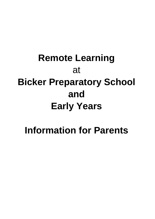# **Remote Learning** at **Bicker Preparatory School and Early Years**

## **Information for Parents**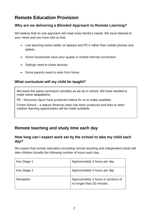## **Remote Education Provision**

#### **Why are we delivering a Blended Approach to Remote Learning?**

We believe that no one approach will meet every family's needs. We have listened to your views and you have told us that:

- Live teaching works better on laptops and PC's rather than mobile phones and tablets.
- Some households have poor quality or limited internet connection.
- Siblings need to share devices.
- Some parents need to work from home.

#### **What curriculum will my child be taught?**

We teach the same curriculum remotely as we do in school. We have needed to make some adaptations:

PE - Discovery Sport have produced videos for us to make available.

Forest School – a Nature Reserve video has been produced and links to other outdoor learning opportunities will be made available.

## **Remote teaching and study time each day**

#### **How long can I expect work set by the school to take my child each day?**

We expect that remote education (including remote teaching and independent work) will take children broadly the following number of hours each day:

| Key Stage 1 | Approximately 3 hours per day                                     |
|-------------|-------------------------------------------------------------------|
| Key Stage 2 | Approximately 4 hours per day                                     |
| Reception   | Approximately 2 hours in sections of<br>no longer than 20 minutes |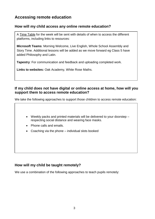## **Accessing remote education**

#### **How will my child access any online remote education?**

A Time Table for the week will be sent with details of when to access the different platforms, including links to resources:

**Microsoft Teams**: Morning Welcome, Live English, Whole School Assembly and Story Time. Additional lessons will be added as we move forward eg Class 5 have added Philosophy and Latin.

**Tapestry**: For communication and feedback and uploading completed work.

**Links to websites:** Oak Academy, White Rose Maths.

#### **If my child does not have digital or online access at home, how will you support them to access remote education?**

We take the following approaches to support those children to access remote education:

- Weekly packs and printed materials will be delivered to your doorstep respecting social distance and wearing face masks.
- Phone calls and emails.
- Coaching via the phone individual slots booked

#### **How will my child be taught remotely?**

We use a combination of the following approaches to teach pupils remotely: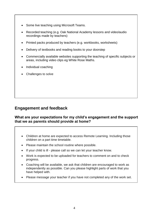- Some live teaching using Microsoft Teams.
- Recorded teaching (e.g. Oak National Academy lessons and video/audio recordings made by teachers)
- Printed packs produced by teachers (e.g. workbooks, worksheets)
- Delivery of textbooks and reading books to your doorstep
- Commercially available websites supporting the teaching of specific subjects or areas, including video clips eg White Rose Maths.
- Individual coaching
- Challenges to solve

### **Engagement and feedback**

#### **What are your expectations for my child's engagement and the support that we as parents should provide at home?**

#### • Children at home are expected to access Remote Learning. Including those children on a part time timetable.

- Please maintain the school routine where possible.
- If your child is ill please call so we can let your teacher know.
- Work is expected to be uploaded for teachers to comment on and to check progress.
- Coaching will be available, we ask that children are encouraged to work as independently as possible. Can you please highlight parts of work that you have helped with.
- Please message your teacher if you have not completed any of the work set.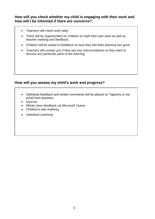**How will you check whether my child is engaging with their work and how will I be informed if there are concerns?**

- Teachers will check work daily.
- There will be opportunities for children to mark their own work as well as teacher marking and feedback.
- Children will be asked to feedback on how they feel their learning has gone.
- Teachers will contact you if they see any misconceptions or they want to discuss any particular parts of the learning.

#### **How will you assess my child's work and progress?**

- Individual feedback and written comments will be placed on Tapestry or via email from teachers
- Quizzes
- Whole class feedback via Microsoft Teams
- Children's own marking
- Individual coaching